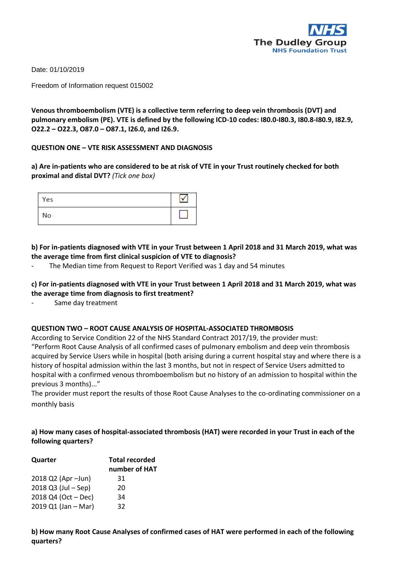

Date: 01/10/2019

Freedom of Information request 015002

**Venous thromboembolism (VTE) is a collective term referring to deep vein thrombosis (DVT) and pulmonary embolism (PE). VTE is defined by the following ICD-10 codes: I80.0-I80.3, I80.8-I80.9, I82.9, O22.2 – O22.3, O87.0 – O87.1, I26.0, and I26.9.** 

# **QUESTION ONE – VTE RISK ASSESSMENT AND DIAGNOSIS**

**a) Are in-patients who are considered to be at risk of VTE in your Trust routinely checked for both proximal and distal DVT?** *(Tick one box)* 

| Yes |  |
|-----|--|
| No  |  |

**b) For in-patients diagnosed with VTE in your Trust between 1 April 2018 and 31 March 2019, what was the average time from first clinical suspicion of VTE to diagnosis?** 

The Median time from Request to Report Verified was 1 day and 54 minutes

**c) For in-patients diagnosed with VTE in your Trust between 1 April 2018 and 31 March 2019, what was the average time from diagnosis to first treatment?** 

Same day treatment

# **QUESTION TWO – ROOT CAUSE ANALYSIS OF HOSPITAL-ASSOCIATED THROMBOSIS**

According to Service Condition 22 of the NHS Standard Contract 2017/19, the provider must: "Perform Root Cause Analysis of all confirmed cases of pulmonary embolism and deep vein thrombosis acquired by Service Users while in hospital (both arising during a current hospital stay and where there is a history of hospital admission within the last 3 months, but not in respect of Service Users admitted to hospital with a confirmed venous thromboembolism but no history of an admission to hospital within the previous 3 months)..."

The provider must report the results of those Root Cause Analyses to the co-ordinating commissioner on a monthly basis

# **a) How many cases of hospital-associated thrombosis (HAT) were recorded in your Trust in each of the following quarters?**

| Quarter             | <b>Total recorded</b> |  |
|---------------------|-----------------------|--|
|                     | number of HAT         |  |
| 2018 Q2 (Apr - Jun) | 31                    |  |
| 2018 Q3 (Jul - Sep) | 20                    |  |
| 2018 Q4 (Oct - Dec) | 34                    |  |
| 2019 Q1 (Jan - Mar) | 32                    |  |

**b) How many Root Cause Analyses of confirmed cases of HAT were performed in each of the following quarters?**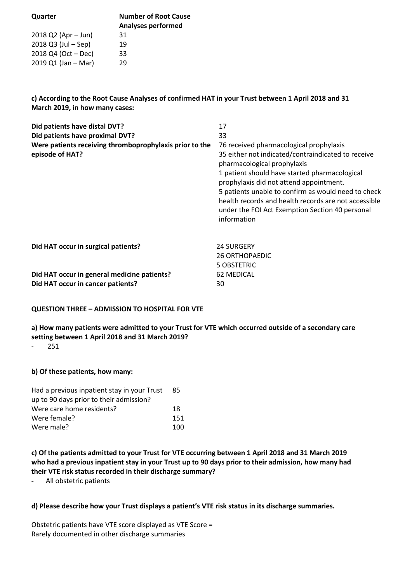| Quarter               | <b>Number of Root Cause</b> |
|-----------------------|-----------------------------|
|                       | <b>Analyses performed</b>   |
| $2018$ Q2 (Apr – Jun) | 31                          |
| $2018$ Q3 (Jul – Sep) | 19                          |
| $2018$ Q4 (Oct – Dec) | 33                          |
| $2019 Q1$ (Jan – Mar) | 29                          |
|                       |                             |

**c) According to the Root Cause Analyses of confirmed HAT in your Trust between 1 April 2018 and 31 March 2019, in how many cases:** 

| Did patients have distal DVT?                                                                                           | 17                                                                                                                                                                                                                                                                                                                                                                                                        |  |  |
|-------------------------------------------------------------------------------------------------------------------------|-----------------------------------------------------------------------------------------------------------------------------------------------------------------------------------------------------------------------------------------------------------------------------------------------------------------------------------------------------------------------------------------------------------|--|--|
| Did patients have proximal DVT?                                                                                         | 33                                                                                                                                                                                                                                                                                                                                                                                                        |  |  |
| Were patients receiving thromboprophylaxis prior to the<br>episode of HAT?                                              | 76 received pharmacological prophylaxis<br>35 either not indicated/contraindicated to receive<br>pharmacological prophylaxis<br>1 patient should have started pharmacological<br>prophylaxis did not attend appointment.<br>5 patients unable to confirm as would need to check<br>health records and health records are not accessible<br>under the FOI Act Exemption Section 40 personal<br>information |  |  |
| Did HAT occur in surgical patients?<br>Did HAT occur in general medicine patients?<br>Did HAT occur in cancer patients? | <b>24 SURGERY</b><br><b>26 ORTHOPAEDIC</b><br>5 OBSTETRIC<br><b>62 MEDICAL</b><br>30                                                                                                                                                                                                                                                                                                                      |  |  |

# **QUESTION THREE – ADMISSION TO HOSPITAL FOR VTE**

# **a) How many patients were admitted to your Trust for VTE which occurred outside of a secondary care setting between 1 April 2018 and 31 March 2019?**

- 251

# **b) Of these patients, how many:**

| Had a previous inpatient stay in your Trust | -85  |
|---------------------------------------------|------|
| up to 90 days prior to their admission?     |      |
| Were care home residents?                   | 18   |
| Were female?                                | 151  |
| Were male?                                  | 100. |

**c) Of the patients admitted to your Trust for VTE occurring between 1 April 2018 and 31 March 2019 who had a previous inpatient stay in your Trust up to 90 days prior to their admission, how many had their VTE risk status recorded in their discharge summary?** 

**-** All obstetric patients

# **d) Please describe how your Trust displays a patient's VTE risk status in its discharge summaries.**

Obstetric patients have VTE score displayed as VTE Score = Rarely documented in other discharge summaries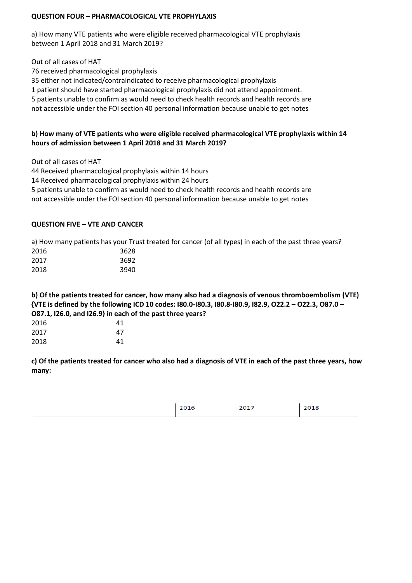# **QUESTION FOUR – PHARMACOLOGICAL VTE PROPHYLAXIS**

a) How many VTE patients who were eligible received pharmacological VTE prophylaxis between 1 April 2018 and 31 March 2019?

Out of all cases of HAT

76 received pharmacological prophylaxis

35 either not indicated/contraindicated to receive pharmacological prophylaxis

1 patient should have started pharmacological prophylaxis did not attend appointment.

5 patients unable to confirm as would need to check health records and health records are

not accessible under the FOI section 40 personal information because unable to get notes

# **b) How many of VTE patients who were eligible received pharmacological VTE prophylaxis within 14 hours of admission between 1 April 2018 and 31 March 2019?**

Out of all cases of HAT

44 Received pharmacological prophylaxis within 14 hours

14 Received pharmacological prophylaxis within 24 hours

5 patients unable to confirm as would need to check health records and health records are

not accessible under the FOI section 40 personal information because unable to get notes

# **QUESTION FIVE – VTE AND CANCER**

a) How many patients has your Trust treated for cancer (of all types) in each of the past three years?

| 3628 |
|------|
| 3692 |
| 3940 |
|      |

**b) Of the patients treated for cancer, how many also had a diagnosis of venous thromboembolism (VTE) {VTE is defined by the following ICD 10 codes: I80.0-I80.3, I80.8-I80.9, I82.9, O22.2 – O22.3, O87.0 – O87.1, I26.0, and I26.9} in each of the past three years?** 

| 2016 | 41 |
|------|----|
| 2017 | 47 |
| 2018 | 41 |

**c) Of the patients treated for cancer who also had a diagnosis of VTE in each of the past three years, how many:** 

| --<br>----- | ---<br>---- |
|-------------|-------------|
|             |             |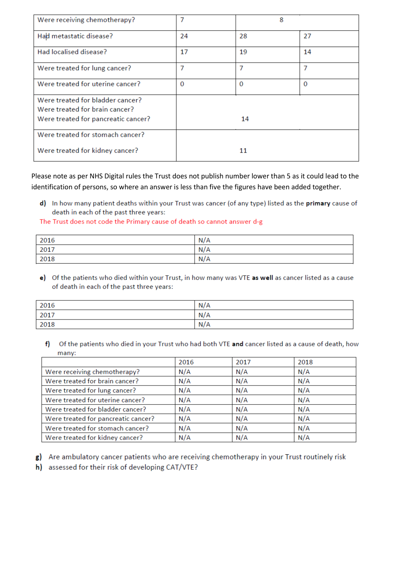| Were receiving chemotherapy?        | 7<br>8 |          |          |
|-------------------------------------|--------|----------|----------|
| Had metastatic disease?             | 24     | 28       | 27       |
| Had localised disease?              | 17     | 19       | 14       |
| Were treated for lung cancer?       | 7      | 7        | 7        |
| Were treated for uterine cancer?    | 0      | $\Omega$ | $\Omega$ |
| Were treated for bladder cancer?    |        |          |          |
| Were treated for brain cancer?      |        |          |          |
| Were treated for pancreatic cancer? |        | 14       |          |
| Were treated for stomach cancer?    |        |          |          |
| Were treated for kidney cancer?     |        | 11       |          |

Please note as per NHS Digital rules the Trust does not publish number lower than 5 as it could lead to the identification of persons, so where an answer is less than five the figures have been added together.

d) In how many patient deaths within your Trust was cancer (of any type) listed as the primary cause of death in each of the past three years:

The Trust does not code the Primary cause of death so cannot answer d-g

| 2016 | N/A |
|------|-----|
| 2017 | N/A |
| 2018 | N/A |

e) Of the patients who died within your Trust, in how many was VTE as well as cancer listed as a cause of death in each of the past three years:

| 2016 | N/A |
|------|-----|
| 2017 | N/A |
| 2018 | N/A |

f) Of the patients who died in your Trust who had both VTE and cancer listed as a cause of death, how many:

|                                     | 2016 | 2017 | 2018 |
|-------------------------------------|------|------|------|
| Were receiving chemotherapy?        | N/A  | N/A  | N/A  |
| Were treated for brain cancer?      | N/A  | N/A  | N/A  |
| Were treated for lung cancer?       | N/A  | N/A  | N/A  |
| Were treated for uterine cancer?    | N/A  | N/A  | N/A  |
| Were treated for bladder cancer?    | N/A  | N/A  | N/A  |
| Were treated for pancreatic cancer? | N/A  | N/A  | N/A  |
| Were treated for stomach cancer?    | N/A  | N/A  | N/A  |
| Were treated for kidney cancer?     | N/A  | N/A  | N/A  |

- g) Are ambulatory cancer patients who are receiving chemotherapy in your Trust routinely risk
- h) assessed for their risk of developing CAT/VTE?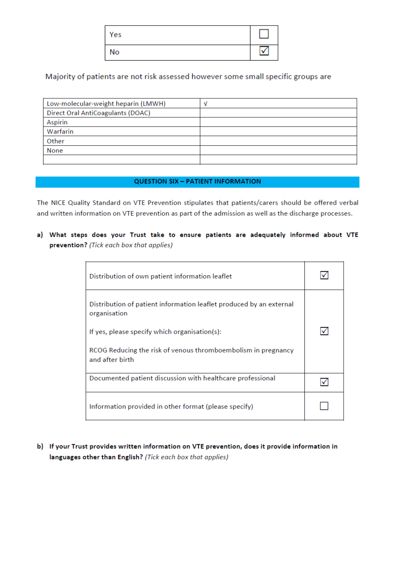| Yes |  |
|-----|--|
| No  |  |

# Majority of patients are not risk assessed however some small specific groups are

| Low-molecular-weight heparin (LMWH) | N |
|-------------------------------------|---|
| Direct Oral AntiCoagulants (DOAC)   |   |
| Aspirin                             |   |
| Warfarin                            |   |
| Other                               |   |
| None                                |   |
|                                     |   |

### **QUESTION SIX - PATIENT INFORMATION**

The NICE Quality Standard on VTE Prevention stipulates that patients/carers should be offered verbal and written information on VTE prevention as part of the admission as well as the discharge processes.

a) What steps does your Trust take to ensure patients are adequately informed about VTE prevention? (Tick each box that applies)

| Distribution of own patient information leaflet                                                                                                                                                                          |  |
|--------------------------------------------------------------------------------------------------------------------------------------------------------------------------------------------------------------------------|--|
| Distribution of patient information leaflet produced by an external<br>organisation<br>If yes, please specify which organisation(s):<br>RCOG Reducing the risk of venous thromboembolism in pregnancy<br>and after birth |  |
| Documented patient discussion with healthcare professional                                                                                                                                                               |  |
| Information provided in other format (please specify)                                                                                                                                                                    |  |

b) If your Trust provides written information on VTE prevention, does it provide information in languages other than English? (Tick each box that applies)